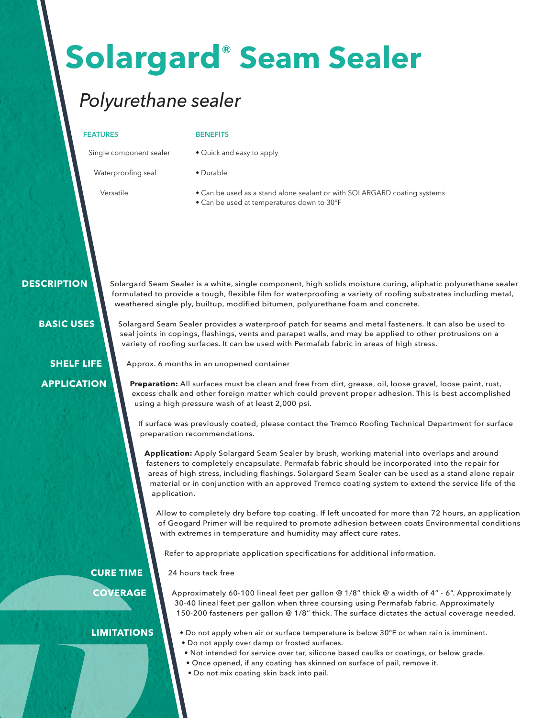# **Solargard® Seam Sealer**

## *Polyurethane sealer*

#### **FEATURES**

#### **BENEFITS**

• Durable

• Quick and easy to apply

Single component sealer

Waterproofing seal

Versatile

• Can be used as a stand alone sealant or with SOLARGARD coating systems

• Can be used at temperatures down to 30°F

#### **DESCRIPTION**

Solargard Seam Sealer is a white, single component, high solids moisture curing, aliphatic polyurethane sealer formulated to provide a tough, flexible film for waterproofing a variety of roofing substrates including metal, weathered single ply, builtup, modified bitumen, polyurethane foam and concrete.

 **BASIC USES**

**SHELF LIFE APPLICATION** Solargard Seam Sealer provides a waterproof patch for seams and metal fasteners. It can also be used to seal joints in copings, flashings, vents and parapet walls, and may be applied to other protrusions on a variety of roofing surfaces. It can be used with Permafab fabric in areas of high stress.

Approx. 6 months in an unopened container

**Preparation:** All surfaces must be clean and free from dirt, grease, oil, loose gravel, loose paint, rust, excess chalk and other foreign matter which could prevent proper adhesion. This is best accomplished using a high pressure wash of at least 2,000 psi.

If surface was previously coated, please contact the Tremco Roofing Technical Department for surface preparation recommendations.

**Application:** Apply Solargard Seam Sealer by brush, working material into overlaps and around fasteners to completely encapsulate. Permafab fabric should be incorporated into the repair for areas of high stress, including flashings. Solargard Seam Sealer can be used as a stand alone repair material or in conjunction with an approved Tremco coating system to extend the service life of the application.

Allow to completely dry before top coating. If left uncoated for more than 72 hours, an application of Geogard Primer will be required to promote adhesion between coats Environmental conditions with extremes in temperature and humidity may affect cure rates.

Refer to appropriate application specifications for additional information.

24 hours tack free **CURE TIME**

**COVERAGE**

Approximately 60-100 lineal feet per gallon @ 1/8" thick @ a width of 4" - 6". Approximately 30-40 lineal feet per gallon when three coursing using Permafab fabric. Approximately 150-200 fasteners per gallon @ 1/8" thick. The surface dictates the actual coverage needed.

### **LIMITATIONS**

- Do not apply when air or surface temperature is below 30°F or when rain is imminent. • Do not apply over damp or frosted surfaces.
	- Not intended for service over tar, silicone based caulks or coatings, or below grade.
	- Once opened, if any coating has skinned on surface of pail, remove it.
	- Do not mix coating skin back into pail.